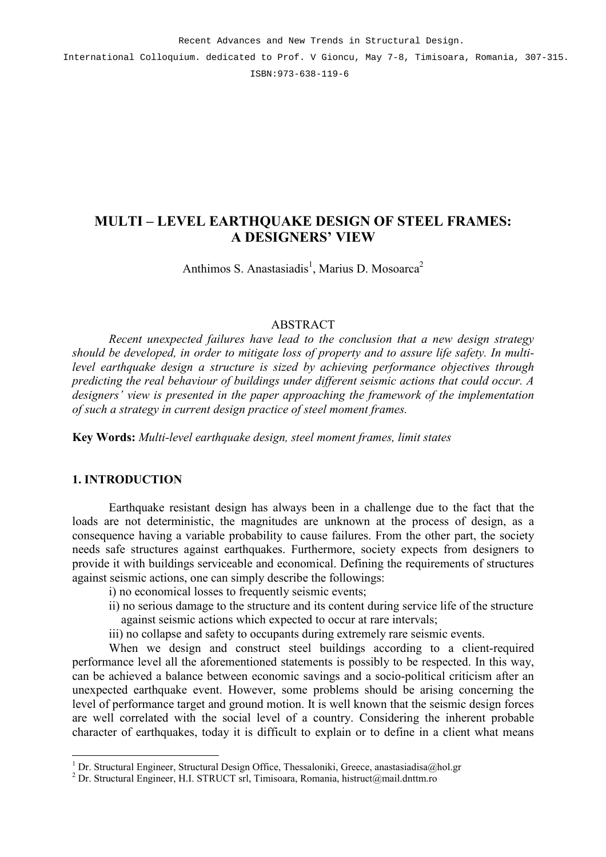International Colloquium. dedicated to Prof. V Gioncu, May 7-8, Timisoara, Romania, 307-315. ISBN:973-638-119-6

## **MULTI – LEVEL EARTHQUAKE DESIGN OF STEEL FRAMES: A DESIGNERS' VIEW**

Anthimos S. Anastasiadis<sup>1</sup>, Marius D. Mosoarca<sup>2</sup>

#### ABSTRACT

*Recent unexpected failures have lead to the conclusion that a new design strategy should be developed, in order to mitigate loss of property and to assure life safety. In multilevel earthquake design a structure is sized by achieving performance objectives through predicting the real behaviour of buildings under different seismic actions that could occur. A designers' view is presented in the paper approaching the framework of the implementation of such a strategy in current design practice of steel moment frames.* 

**Key Words:** *Multi-level earthquake design, steel moment frames, limit states* 

## **1. INTRODUCTION**

Earthquake resistant design has always been in a challenge due to the fact that the loads are not deterministic, the magnitudes are unknown at the process of design, as a consequence having a variable probability to cause failures. From the other part, the society needs safe structures against earthquakes. Furthermore, society expects from designers to provide it with buildings serviceable and economical. Defining the requirements of structures against seismic actions, one can simply describe the followings:

- i) no economical losses to frequently seismic events;
- ii) no serious damage to the structure and its content during service life of the structure against seismic actions which expected to occur at rare intervals;
- iii) no collapse and safety to occupants during extremely rare seismic events.

When we design and construct steel buildings according to a client-required performance level all the aforementioned statements is possibly to be respected. In this way, can be achieved a balance between economic savings and a socio-political criticism after an unexpected earthquake event. However, some problems should be arising concerning the level of performance target and ground motion. It is well known that the seismic design forces are well correlated with the social level of a country. Considering the inherent probable character of earthquakes, today it is difficult to explain or to define in a client what means

<sup>&</sup>lt;sup>1</sup> Dr. Structural Engineer, Structural Design Office, Thessaloniki, Greece, anastasiadisa@hol.gr

<sup>2</sup> Dr. Structural Engineer, H.I. STRUCT srl, Timisoara, Romania, histruct@mail.dnttm.ro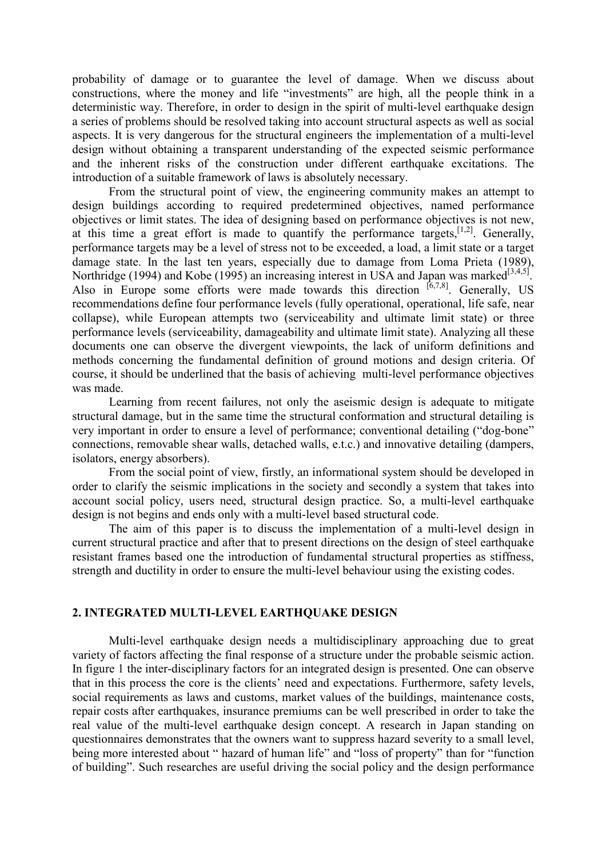probability of damage or to guarantee the level of damage. When we discuss about constructions, where the money and life "investments" are high, all the people think in a deterministic way. Therefore, in order to design in the spirit of multi-level earthquake design a series of problems should be resolved taking into account structural aspects as well as social aspects. It is very dangerous for the structural engineers the implementation of a multi-level design without obtaining a transparent understanding of the expected seismic performance and the inherent risks of the construction under different earthquake excitations. The introduction of a suitable framework of laws is absolutely necessary.

From the structural point of view, the engineering community makes an attempt to design buildings according to required predetermined objectives, named performance objectives or limit states. The idea of designing based on performance objectives is not new, at this time a great effort is made to quantify the performance targets,  $[1,2]$ . Generally, performance targets may be a level of stress not to be exceeded, a load, a limit state or a target damage state. In the last ten years, especially due to damage from Loma Prieta (1989), Northridge (1994) and Kobe (1995) an increasing interest in USA and Japan was marked<sup>[3,4,5]</sup>. Also in Europe some efforts were made towards this direction  $[6,7,8]$ . Generally, US recommendations define four performance levels (fully operational, operational, life safe, near collapse), while European attempts two (serviceability and ultimate limit state) or three performance levels (serviceability, damageability and ultimate limit state). Analyzing all these documents one can observe the divergent viewpoints, the lack of uniform definitions and methods concerning the fundamental definition of ground motions and design criteria. Of course, it should be underlined that the basis of achieving multi-level performance objectives was made.

Learning from recent failures, not only the aseismic design is adequate to mitigate structural damage, but in the same time the structural conformation and structural detailing is very important in order to ensure a level of performance; conventional detailing ("dog-bone" connections, removable shear walls, detached walls, e.t.c.) and innovative detailing (dampers, isolators, energy absorbers).

From the social point of view, firstly, an informational system should be developed in order to clarify the seismic implications in the society and secondly a system that takes into account social policy, users need, structural design practice. So, a multi-level earthquake design is not begins and ends only with a multi-level based structural code.

The aim of this paper is to discuss the implementation of a multi-level design in current structural practice and after that to present directions on the design of steel earthquake resistant frames based one the introduction of fundamental structural properties as stiffness, strength and ductility in order to ensure the multi-level behaviour using the existing codes.

### **2. INTEGRATED MULTI-LEVEL EARTHQUAKE DESIGN**

Multi-level earthquake design needs a multidisciplinary approaching due to great variety of factors affecting the final response of a structure under the probable seismic action. In figure 1 the inter-disciplinary factors for an integrated design is presented. One can observe that in this process the core is the clients' need and expectations. Furthermore, safety levels, social requirements as laws and customs, market values of the buildings, maintenance costs, repair costs after earthquakes, insurance premiums can be well prescribed in order to take the real value of the multi-level earthquake design concept. A research in Japan standing on questionnaires demonstrates that the owners want to suppress hazard severity to a small level, being more interested about " hazard of human life" and "loss of property" than for "function of building". Such researches are useful driving the social policy and the design performance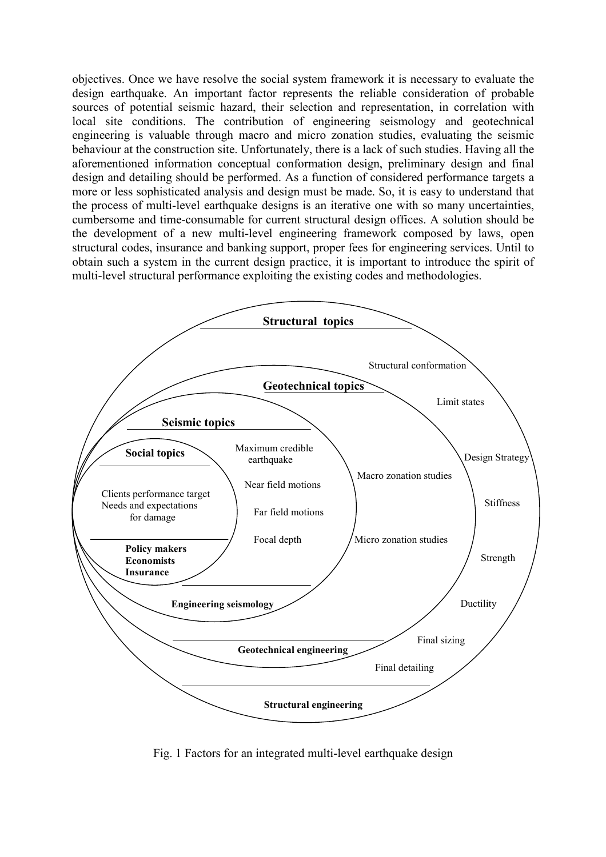objectives. Once we have resolve the social system framework it is necessary to evaluate the design earthquake. An important factor represents the reliable consideration of probable sources of potential seismic hazard, their selection and representation, in correlation with local site conditions. The contribution of engineering seismology and geotechnical engineering is valuable through macro and micro zonation studies, evaluating the seismic behaviour at the construction site. Unfortunately, there is a lack of such studies. Having all the aforementioned information conceptual conformation design, preliminary design and final design and detailing should be performed. As a function of considered performance targets a more or less sophisticated analysis and design must be made. So, it is easy to understand that the process of multi-level earthquake designs is an iterative one with so many uncertainties, cumbersome and time-consumable for current structural design offices. A solution should be the development of a new multi-level engineering framework composed by laws, open structural codes, insurance and banking support, proper fees for engineering services. Until to obtain such a system in the current design practice, it is important to introduce the spirit of multi-level structural performance exploiting the existing codes and methodologies.



Fig. 1 Factors for an integrated multi-level earthquake design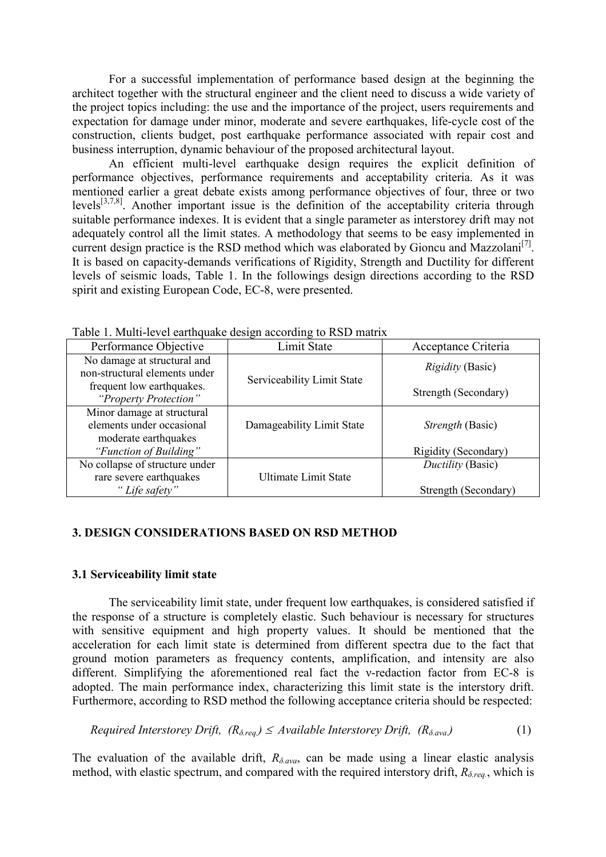For a successful implementation of performance based design at the beginning the architect together with the structural engineer and the client need to discuss a wide variety of the project topics including: the use and the importance of the project, users requirements and expectation for damage under minor, moderate and severe earthquakes, life-cycle cost of the construction, clients budget, post earthquake performance associated with repair cost and business interruption, dynamic behaviour of the proposed architectural layout.

An efficient multi-level earthquake design requires the explicit definition of performance objectives, performance requirements and acceptability criteria. As it was mentioned earlier a great debate exists among performance objectives of four, three or two levels<sup>[3,7,8]</sup>. Another important issue is the definition of the acceptability criteria through suitable performance indexes. It is evident that a single parameter as interstorey drift may not adequately control all the limit states. A methodology that seems to be easy implemented in current design practice is the RSD method which was elaborated by Gioncu and Mazzolani<sup>[7]</sup>. It is based on capacity-demands verifications of Rigidity, Strength and Ductility for different levels of seismic loads, Table 1. In the followings design directions according to the RSD spirit and existing European Code, EC-8, were presented.

| Twele 1, Hann Terel emmelante accept according to 100D manni                    |                             |                         |  |
|---------------------------------------------------------------------------------|-----------------------------|-------------------------|--|
| Performance Objective                                                           | Limit State                 | Acceptance Criteria     |  |
| No damage at structural and<br>non-structural elements under                    |                             | <i>Rigidity</i> (Basic) |  |
| frequent low earthquakes.<br>"Property Protection"                              | Serviceability Limit State  | Strength (Secondary)    |  |
| Minor damage at structural<br>elements under occasional<br>moderate earthquakes | Damageability Limit State   | <i>Strength</i> (Basic) |  |
| "Function of Building"                                                          |                             | Rigidity (Secondary)    |  |
| No collapse of structure under                                                  |                             | Ductility (Basic)       |  |
| rare severe earthquakes                                                         | <b>Ultimate Limit State</b> |                         |  |
| "Life safety"                                                                   |                             | Strength (Secondary)    |  |

Table 1. Multi-level earthquake design according to RSD matrix

## **3. DESIGN CONSIDERATIONS BASED ON RSD METHOD**

#### **3.1 Serviceability limit state**

The serviceability limit state, under frequent low earthquakes, is considered satisfied if the response of a structure is completely elastic. Such behaviour is necessary for structures with sensitive equipment and high property values. It should be mentioned that the acceleration for each limit state is determined from different spectra due to the fact that ground motion parameters as frequency contents, amplification, and intensity are also different. Simplifying the aforementioned real fact the v-redaction factor from  $EC-8$  is adopted. The main performance index, characterizing this limit state is the interstory drift. Furthermore, according to RSD method the following acceptance criteria should be respected:

*Required Interstorey Drift,*  $(R_{\delta \text{rea}}) \leq \text{Available Interstorey Drift, } (R_{\delta \text{ava}})$  (1)

The evaluation of the available drift,  $R_{\delta,ava}$ , can be made using a linear elastic analysis method, with elastic spectrum, and compared with the required interstory drift,  $R_{\delta,req.}$ , which is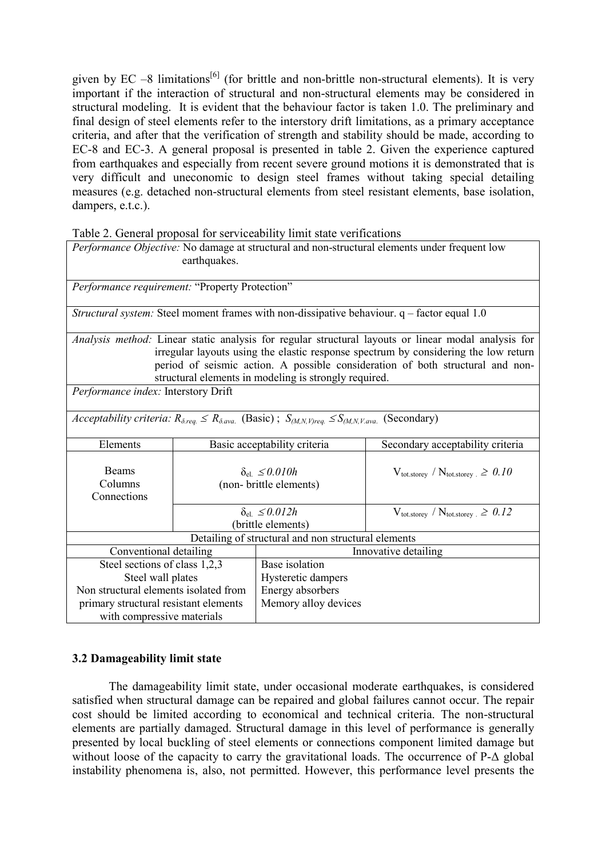given by EC –8 limitations<sup>[6]</sup> (for brittle and non-brittle non-structural elements). It is very important if the interaction of structural and non-structural elements may be considered in structural modeling. It is evident that the behaviour factor is taken 1.0. The preliminary and final design of steel elements refer to the interstory drift limitations, as a primary acceptance criteria, and after that the verification of strength and stability should be made, according to EC-8 and EC-3. A general proposal is presented in table 2. Given the experience captured from earthquakes and especially from recent severe ground motions it is demonstrated that is very difficult and uneconomic to design steel frames without taking special detailing measures (e.g. detached non-structural elements from steel resistant elements, base isolation, dampers, e.t.c.).

Table 2. General proposal for serviceability limit state verifications

|                                                | earthquakes.                                         |                                                                                                                                | Performance Objective: No damage at structural and non-structural elements under frequent low                                                                                                                                                                                |
|------------------------------------------------|------------------------------------------------------|--------------------------------------------------------------------------------------------------------------------------------|------------------------------------------------------------------------------------------------------------------------------------------------------------------------------------------------------------------------------------------------------------------------------|
| Performance requirement: "Property Protection" |                                                      |                                                                                                                                |                                                                                                                                                                                                                                                                              |
|                                                |                                                      |                                                                                                                                | Structural system: Steel moment frames with non-dissipative behaviour. q - factor equal 1.0                                                                                                                                                                                  |
|                                                |                                                      | structural elements in modeling is strongly required.                                                                          | Analysis method: Linear static analysis for regular structural layouts or linear modal analysis for<br>irregular layouts using the elastic response spectrum by considering the low return<br>period of seismic action. A possible consideration of both structural and non- |
| Performance index: Interstory Drift            |                                                      |                                                                                                                                |                                                                                                                                                                                                                                                                              |
|                                                |                                                      | <i>Acceptability criteria:</i> $R_{\delta,req} \leq R_{\delta,ava}$ (Basic); $S_{(M,N,V)req} \leq S_{(M,N,V,ava)}$ (Secondary) |                                                                                                                                                                                                                                                                              |
| Elements                                       |                                                      | Basic acceptability criteria                                                                                                   | Secondary acceptability criteria                                                                                                                                                                                                                                             |
| <b>Beams</b><br>Columns<br>Connections         | $\delta_{el} \leq 0.010h$<br>(non- brittle elements) |                                                                                                                                | $V_{\text{tot.storey}}$ / $N_{\text{tot.storey}} \ge 0.10$                                                                                                                                                                                                                   |
|                                                | $\delta_{el} \leq 0.012h$<br>(brittle elements)      |                                                                                                                                | $V_{\text{tot.storey}}$ / $N_{\text{tot.storey}} \ge 0.12$                                                                                                                                                                                                                   |
|                                                |                                                      | Detailing of structural and non structural elements                                                                            |                                                                                                                                                                                                                                                                              |
| Conventional detailing<br>Innovative detailing |                                                      |                                                                                                                                |                                                                                                                                                                                                                                                                              |
| Steel sections of class 1,2,3                  |                                                      | Base isolation                                                                                                                 |                                                                                                                                                                                                                                                                              |
| Steel wall plates                              |                                                      | Hysteretic dampers                                                                                                             |                                                                                                                                                                                                                                                                              |
| Non structural elements isolated from          |                                                      | Energy absorbers                                                                                                               |                                                                                                                                                                                                                                                                              |
| primary structural resistant elements          |                                                      | Memory alloy devices                                                                                                           |                                                                                                                                                                                                                                                                              |
| with compressive materials                     |                                                      |                                                                                                                                |                                                                                                                                                                                                                                                                              |

# **3.2 Damageability limit state**

The damageability limit state, under occasional moderate earthquakes, is considered satisfied when structural damage can be repaired and global failures cannot occur. The repair cost should be limited according to economical and technical criteria. The non-structural elements are partially damaged. Structural damage in this level of performance is generally presented by local buckling of steel elements or connections component limited damage but without loose of the capacity to carry the gravitational loads. The occurrence of  $P-\Delta$  global instability phenomena is, also, not permitted. However, this performance level presents the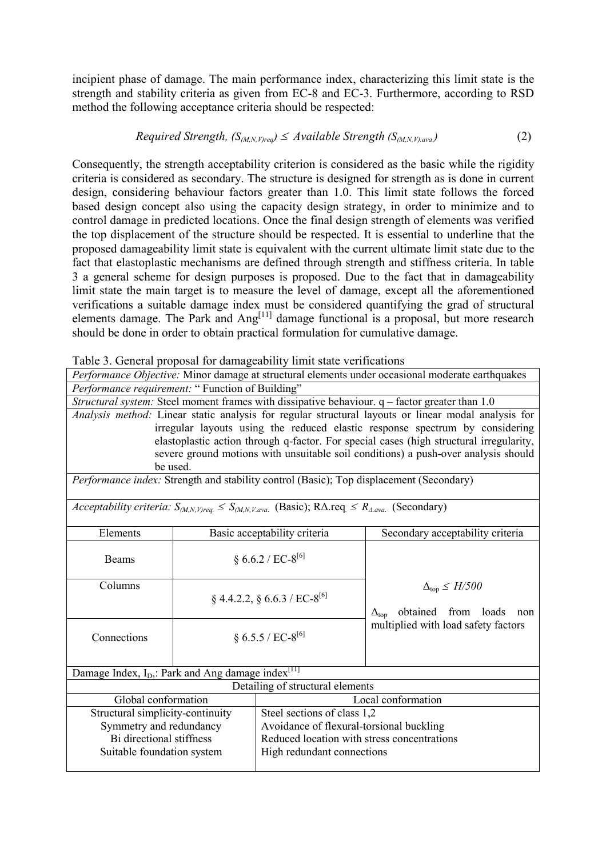incipient phase of damage. The main performance index, characterizing this limit state is the strength and stability criteria as given from EC-8 and EC-3. Furthermore, according to RSD method the following acceptance criteria should be respected:

Required Strength, 
$$
(S_{(M,N,V)req}) \le \Delta
$$
 variable Strength  $(S_{(M,N,V),ava})$  (2)

Consequently, the strength acceptability criterion is considered as the basic while the rigidity criteria is considered as secondary. The structure is designed for strength as is done in current design, considering behaviour factors greater than 1.0. This limit state follows the forced based design concept also using the capacity design strategy, in order to minimize and to control damage in predicted locations. Once the final design strength of elements was verified the top displacement of the structure should be respected. It is essential to underline that the proposed damageability limit state is equivalent with the current ultimate limit state due to the fact that elastoplastic mechanisms are defined through strength and stiffness criteria. In table 3 a general scheme for design purposes is proposed. Due to the fact that in damageability limit state the main target is to measure the level of damage, except all the aforementioned verifications a suitable damage index must be considered quantifying the grad of structural elements damage. The Park and  $Ang<sup>[11]</sup>$  damage functional is a proposal, but more research should be done in order to obtain practical formulation for cumulative damage.

| Table 3. General proposal for damageability limit state verifications |  |  |  |  |
|-----------------------------------------------------------------------|--|--|--|--|
|-----------------------------------------------------------------------|--|--|--|--|

| $\beta$ come for <i>equally</i> $\beta$ we have the set                                          |                                                                 |                                                                                                                                     |                                                                                                     |  |
|--------------------------------------------------------------------------------------------------|-----------------------------------------------------------------|-------------------------------------------------------------------------------------------------------------------------------------|-----------------------------------------------------------------------------------------------------|--|
| Performance Objective: Minor damage at structural elements under occasional moderate earthquakes |                                                                 |                                                                                                                                     |                                                                                                     |  |
| Performance requirement: " Function of Building"                                                 |                                                                 |                                                                                                                                     |                                                                                                     |  |
|                                                                                                  |                                                                 |                                                                                                                                     | Structural system: Steel moment frames with dissipative behaviour. $q$ – factor greater than 1.0    |  |
|                                                                                                  |                                                                 |                                                                                                                                     | Analysis method: Linear static analysis for regular structural layouts or linear modal analysis for |  |
|                                                                                                  |                                                                 |                                                                                                                                     | irregular layouts using the reduced elastic response spectrum by considering                        |  |
|                                                                                                  |                                                                 |                                                                                                                                     | elastoplastic action through q-factor. For special cases (high structural irregularity,             |  |
|                                                                                                  |                                                                 |                                                                                                                                     | severe ground motions with unsuitable soil conditions) a push-over analysis should                  |  |
|                                                                                                  | be used.                                                        |                                                                                                                                     |                                                                                                     |  |
|                                                                                                  |                                                                 |                                                                                                                                     | Performance index: Strength and stability control (Basic); Top displacement (Secondary)             |  |
|                                                                                                  |                                                                 |                                                                                                                                     |                                                                                                     |  |
|                                                                                                  |                                                                 | <i>Acceptability criteria:</i> $S_{(M,N,V)req.} \leq S_{(M,N,V,ava.)}$ (Basic); R $\Delta$ .req. $\leq R_{\Delta,ava.}$ (Secondary) |                                                                                                     |  |
|                                                                                                  |                                                                 |                                                                                                                                     |                                                                                                     |  |
| Elements                                                                                         |                                                                 | Basic acceptability criteria                                                                                                        | Secondary acceptability criteria                                                                    |  |
|                                                                                                  |                                                                 |                                                                                                                                     |                                                                                                     |  |
| Beams                                                                                            | § 6.6.2 / EC-8 <sup>[6]</sup>                                   |                                                                                                                                     |                                                                                                     |  |
|                                                                                                  |                                                                 |                                                                                                                                     |                                                                                                     |  |
| Columns                                                                                          |                                                                 |                                                                                                                                     | $\Delta_{\text{top}} \leq H/500$                                                                    |  |
|                                                                                                  |                                                                 | $\S$ 4.4.2.2, $\S$ 6.6.3 / EC-8 <sup>[6]</sup>                                                                                      |                                                                                                     |  |
|                                                                                                  |                                                                 |                                                                                                                                     | $\Delta_{\text{top}}$ obtained from loads<br>non                                                    |  |
| Connections                                                                                      |                                                                 | § 6.5.5 / EC-8 <sup>[6]</sup>                                                                                                       | multiplied with load safety factors                                                                 |  |
|                                                                                                  |                                                                 |                                                                                                                                     |                                                                                                     |  |
|                                                                                                  |                                                                 |                                                                                                                                     |                                                                                                     |  |
| Damage Index, I <sub>D</sub> ,: Park and Ang damage index <sup>[11]</sup>                        |                                                                 |                                                                                                                                     |                                                                                                     |  |
| Detailing of structural elements                                                                 |                                                                 |                                                                                                                                     |                                                                                                     |  |
| Global conformation                                                                              |                                                                 | Local conformation                                                                                                                  |                                                                                                     |  |
|                                                                                                  | Steel sections of class 1,2<br>Structural simplicity-continuity |                                                                                                                                     |                                                                                                     |  |
| Avoidance of flexural-torsional buckling<br>Symmetry and redundancy                              |                                                                 |                                                                                                                                     |                                                                                                     |  |
| Bi directional stiffness                                                                         |                                                                 |                                                                                                                                     | Reduced location with stress concentrations                                                         |  |
| Suitable foundation system                                                                       | High redundant connections                                      |                                                                                                                                     |                                                                                                     |  |
|                                                                                                  |                                                                 |                                                                                                                                     |                                                                                                     |  |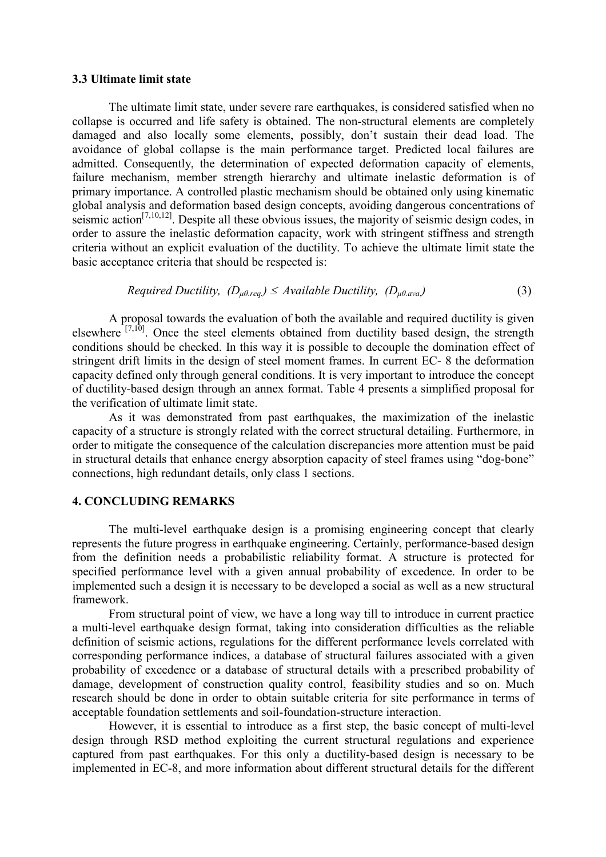#### **3.3 Ultimate limit state**

The ultimate limit state, under severe rare earthquakes, is considered satisfied when no collapse is occurred and life safety is obtained. The non-structural elements are completely damaged and also locally some elements, possibly, don't sustain their dead load. The avoidance of global collapse is the main performance target. Predicted local failures are admitted. Consequently, the determination of expected deformation capacity of elements, failure mechanism, member strength hierarchy and ultimate inelastic deformation is of primary importance. A controlled plastic mechanism should be obtained only using kinematic global analysis and deformation based design concepts, avoiding dangerous concentrations of seismic action<sup>[7,10,12]</sup>. Despite all these obvious issues, the majority of seismic design codes, in order to assure the inelastic deformation capacity, work with stringent stiffness and strength criteria without an explicit evaluation of the ductility. To achieve the ultimate limit state the basic acceptance criteria that should be respected is:

Required Ductility, 
$$
(D_{\mu\theta, \text{req.}}) \le \text{Available Ductility}, (D_{\mu\theta, \text{avg.}})
$$
 (3)

A proposal towards the evaluation of both the available and required ductility is given elsewhere  $[7,10]$ . Once the steel elements obtained from ductility based design, the strength conditions should be checked. In this way it is possible to decouple the domination effect of stringent drift limits in the design of steel moment frames. In current EC- 8 the deformation capacity defined only through general conditions. It is very important to introduce the concept of ductility-based design through an annex format. Table 4 presents a simplified proposal for the verification of ultimate limit state.

As it was demonstrated from past earthquakes, the maximization of the inelastic capacity of a structure is strongly related with the correct structural detailing. Furthermore, in order to mitigate the consequence of the calculation discrepancies more attention must be paid in structural details that enhance energy absorption capacity of steel frames using "dog-bone" connections, high redundant details, only class 1 sections.

## **4. CONCLUDING REMARKS**

The multi-level earthquake design is a promising engineering concept that clearly represents the future progress in earthquake engineering. Certainly, performance-based design from the definition needs a probabilistic reliability format. A structure is protected for specified performance level with a given annual probability of excedence. In order to be implemented such a design it is necessary to be developed a social as well as a new structural framework.

From structural point of view, we have a long way till to introduce in current practice a multi-level earthquake design format, taking into consideration difficulties as the reliable definition of seismic actions, regulations for the different performance levels correlated with corresponding performance indices, a database of structural failures associated with a given probability of excedence or a database of structural details with a prescribed probability of damage, development of construction quality control, feasibility studies and so on. Much research should be done in order to obtain suitable criteria for site performance in terms of acceptable foundation settlements and soil-foundation-structure interaction.

However, it is essential to introduce as a first step, the basic concept of multi-level design through RSD method exploiting the current structural regulations and experience captured from past earthquakes. For this only a ductility-based design is necessary to be implemented in EC-8, and more information about different structural details for the different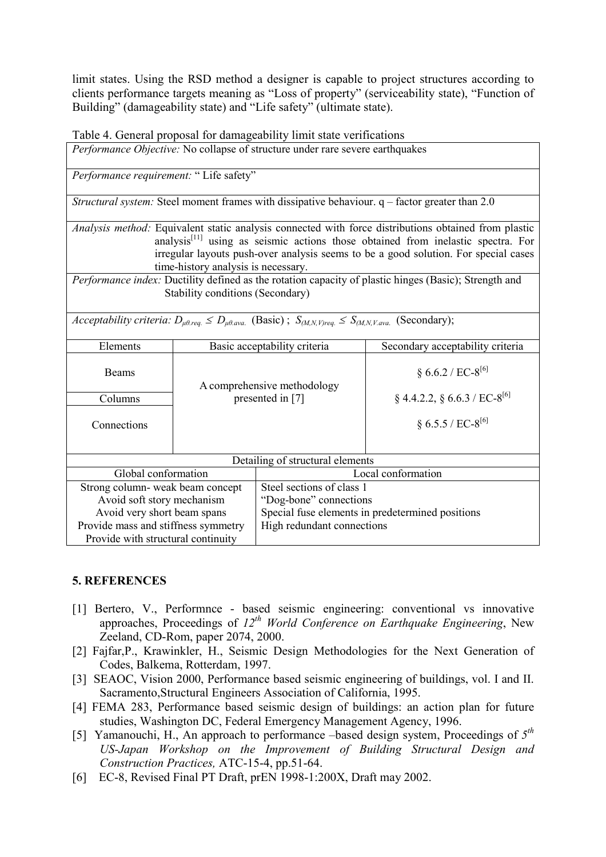limit states. Using the RSD method a designer is capable to project structures according to clients performance targets meaning as "Loss of property" (serviceability state), "Function of Building" (damageability state) and "Life safety" (ultimate state).

Table 4. General proposal for damageability limit state verifications

*Performance Objective:* No collapse of structure under rare severe earthquakes

*Performance requirement:* " Life safety"

*Structural system:* Steel moment frames with dissipative behaviour. q – factor greater than 2.0

*Analysis method:* Equivalent static analysis connected with force distributions obtained from plastic analysis $[11]$  using as seismic actions those obtained from inelastic spectra. For irregular layouts push-over analysis seems to be a good solution. For special cases time-history analysis is necessary.

*Performance index:* Ductility defined as the rotation capacity of plastic hinges (Basic); Strength and Stability conditions (Secondary)

*Acceptability criteria:*  $D_{\mu\theta, \text{reg.}} \leq D_{\mu\theta, \text{avg.}}$  (Basic) ;  $S_{(M,N,V) \text{reg.}} \leq S_{(M,N,V, \text{avg.}}$  (Secondary);

| Elements                            | Basic acceptability criteria                    |                                                  | Secondary acceptability criteria               |
|-------------------------------------|-------------------------------------------------|--------------------------------------------------|------------------------------------------------|
| <b>Beams</b>                        | A comprehensive methodology<br>presented in [7] |                                                  | § 6.6.2 / EC-8 <sup>[6]</sup>                  |
| Columns                             |                                                 |                                                  | $\S$ 4.4.2.2, $\S$ 6.6.3 / EC-8 <sup>[6]</sup> |
| Connections                         |                                                 |                                                  | § 6.5.5 / EC-8 <sup>[6]</sup>                  |
| Detailing of structural elements    |                                                 |                                                  |                                                |
| Global conformation                 |                                                 |                                                  | Local conformation                             |
| Strong column- weak beam concept    |                                                 | Steel sections of class 1                        |                                                |
| Avoid soft story mechanism          |                                                 | "Dog-bone" connections                           |                                                |
| Avoid very short beam spans         |                                                 | Special fuse elements in predetermined positions |                                                |
| Provide mass and stiffness symmetry |                                                 | High redundant connections                       |                                                |
| Provide with structural continuity  |                                                 |                                                  |                                                |

## **5. REFERENCES**

- [1] Bertero, V., Performnce based seismic engineering: conventional vs innovative approaches, Proceedings of *12th World Conference on Earthquake Engineering*, New Zeeland, CD-Rom, paper 2074, 2000.
- [2] Fajfar,P., Krawinkler, H., Seismic Design Methodologies for the Next Generation of Codes, Balkema, Rotterdam, 1997.
- [3] SEAOC, Vision 2000, Performance based seismic engineering of buildings, vol. I and II. Sacramento,Structural Engineers Association of California, 1995.
- [4] FEMA 283, Performance based seismic design of buildings: an action plan for future studies, Washington DC, Federal Emergency Management Agency, 1996.
- [5] Yamanouchi, H., An approach to performance –based design system, Proceedings of *5th US-Japan Workshop on the Improvement of Building Structural Design and Construction Practices,* ATC-15-4, pp.51-64.
- [6] EC-8, Revised Final PT Draft, prEN 1998-1:200X, Draft may 2002.